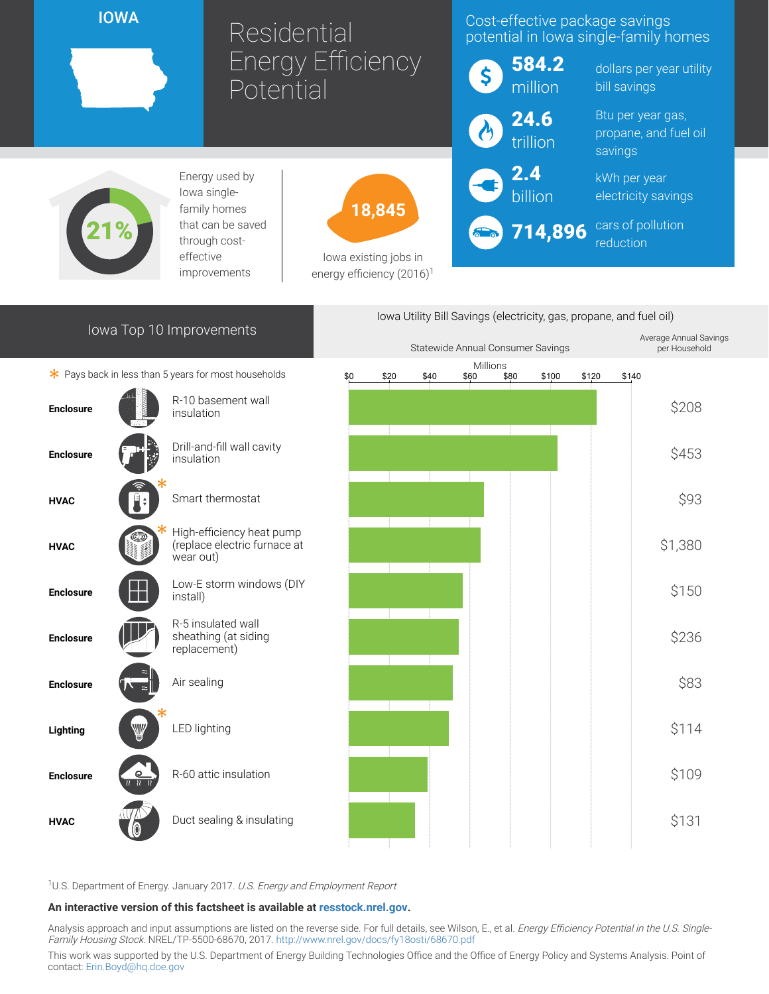IOWA

## Residential Energy Efficiency Potential

## Cost-effective package savings potential in Iowa single-family homes

| S         | 584.2<br>million |
|-----------|------------------|
| $\lambda$ | 24.6<br>trillion |

2.4 billion dollars per year utility bill savings

Btu per year gas, propane, and fuel oil savings

kWh per year electricity savings

714,896 cars of pollution reduction



Energy used by Iowa singlefamily homes that can be saved through costeffective improvements



Iowa existing jobs in energy efficiency  $(2016)^1$ 

|                          |                                          |                                                                        | lowa Utility Bill Savings (electricity, gas, propane, and fuel oil) |      |      |                  |      |       |       |       |                                         |
|--------------------------|------------------------------------------|------------------------------------------------------------------------|---------------------------------------------------------------------|------|------|------------------|------|-------|-------|-------|-----------------------------------------|
| Iowa Top 10 Improvements |                                          |                                                                        | Statewide Annual Consumer Savings                                   |      |      |                  |      |       |       |       | Average Annual Savings<br>per Household |
|                          |                                          | * Pays back in less than 5 years for most households                   | \$0                                                                 | \$20 | \$40 | Millions<br>\$60 | \$80 | \$100 | \$120 | \$140 |                                         |
| <b>Enclosure</b>         |                                          | R-10 basement wall<br>insulation                                       |                                                                     |      |      |                  |      |       |       |       | \$208                                   |
| <b>Enclosure</b>         |                                          | Drill-and-fill wall cavity<br>insulation                               |                                                                     |      |      |                  |      |       |       |       | \$453                                   |
| <b>HVAC</b>              |                                          | Smart thermostat                                                       |                                                                     |      |      |                  |      |       |       |       | \$93                                    |
| <b>HVAC</b>              |                                          | High-efficiency heat pump<br>(replace electric furnace at<br>wear out) |                                                                     |      |      |                  |      |       |       |       | \$1,380                                 |
| <b>Enclosure</b>         |                                          | Low-E storm windows (DIY<br>install)                                   |                                                                     |      |      |                  |      |       |       |       | \$150                                   |
| <b>Enclosure</b>         |                                          | R-5 insulated wall<br>sheathing (at siding<br>replacement)             |                                                                     |      |      |                  |      |       |       |       | \$236                                   |
| <b>Enclosure</b>         |                                          | Air sealing                                                            |                                                                     |      |      |                  |      |       |       |       | \$83                                    |
| Lighting                 |                                          | <b>LED lighting</b>                                                    |                                                                     |      |      |                  |      |       |       |       | \$114                                   |
| <b>Enclosure</b>         | $\mathbf{Q}$<br>$\overline{\mathcal{U}}$ | R-60 attic insulation                                                  |                                                                     |      |      |                  |      |       |       |       | \$109                                   |
| <b>HVAC</b>              |                                          | Duct sealing & insulating                                              |                                                                     |      |      |                  |      |       |       |       | \$131                                   |
|                          |                                          |                                                                        |                                                                     |      |      |                  |      |       |       |       |                                         |

<sup>1</sup>U.S. Department of Energy. January 2017. U.S. Energy and Employment Report

## An interactive version of this factsheet is available at [resstock.nrel.gov.](https://resstock.nrel.gov/)

Analysis approach and input assumptions are listed on the reverse side. For full details, see Wilson, E., et al. *Energy Efficiency Potential in the U.S. Single*-Family Housing Stock. NREL/TP-5500-68670, 2017. <http://www.nrel.gov/docs/fy18osti/68670.pdf>

This work was supported by the U.S. Department of Energy Building Technologies Office and the Office of Energy Policy and Systems Analysis. Point of contact: [Erin.Boyd@hq.doe.gov](mailto:Erin.Boyd@hq.doe.gov)